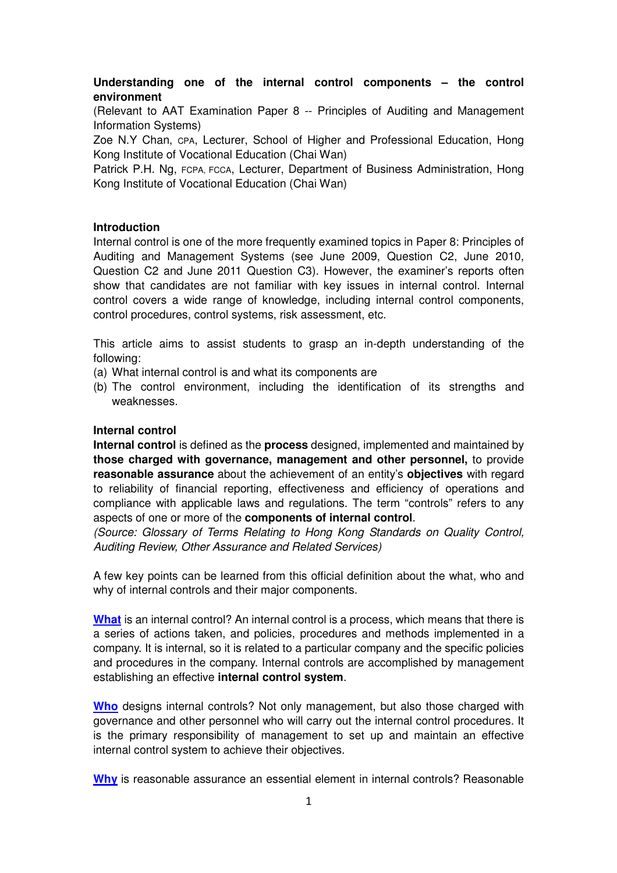# **Understanding one of the internal control components – the control environment**

(Relevant to AAT Examination Paper 8 -- Principles of Auditing and Management Information Systems)

Zoe N.Y Chan, CPA, Lecturer, School of Higher and Professional Education, Hong Kong Institute of Vocational Education (Chai Wan)

Patrick P.H. Ng, FCPA, FCCA, Lecturer, Department of Business Administration, Hong Kong Institute of Vocational Education (Chai Wan)

### **Introduction**

Internal control is one of the more frequently examined topics in Paper 8: Principles of Auditing and Management Systems (see June 2009, Question C2, June 2010, Question C2 and June 2011 Question C3). However, the examiner's reports often show that candidates are not familiar with key issues in internal control. Internal control covers a wide range of knowledge, including internal control components, control procedures, control systems, risk assessment, etc.

This article aims to assist students to grasp an in-depth understanding of the following:

- (a) What internal control is and what its components are
- (b) The control environment, including the identification of its strengths and weaknesses.

#### **Internal control**

**Internal control** is defined as the **process** designed, implemented and maintained by **those charged with governance, management and other personnel,** to provide **reasonable assurance** about the achievement of an entity's **objectives** with regard to reliability of financial reporting, effectiveness and efficiency of operations and compliance with applicable laws and regulations. The term "controls" refers to any aspects of one or more of the **components of internal control**.

(Source: Glossary of Terms Relating to Hong Kong Standards on Quality Control, Auditing Review, Other Assurance and Related Services)

A few key points can be learned from this official definition about the what, who and why of internal controls and their major components.

**What** is an internal control? An internal control is a process, which means that there is a series of actions taken, and policies, procedures and methods implemented in a company. It is internal, so it is related to a particular company and the specific policies and procedures in the company. Internal controls are accomplished by management establishing an effective **internal control system**.

**Who** designs internal controls? Not only management, but also those charged with governance and other personnel who will carry out the internal control procedures. It is the primary responsibility of management to set up and maintain an effective internal control system to achieve their objectives.

**Why** is reasonable assurance an essential element in internal controls? Reasonable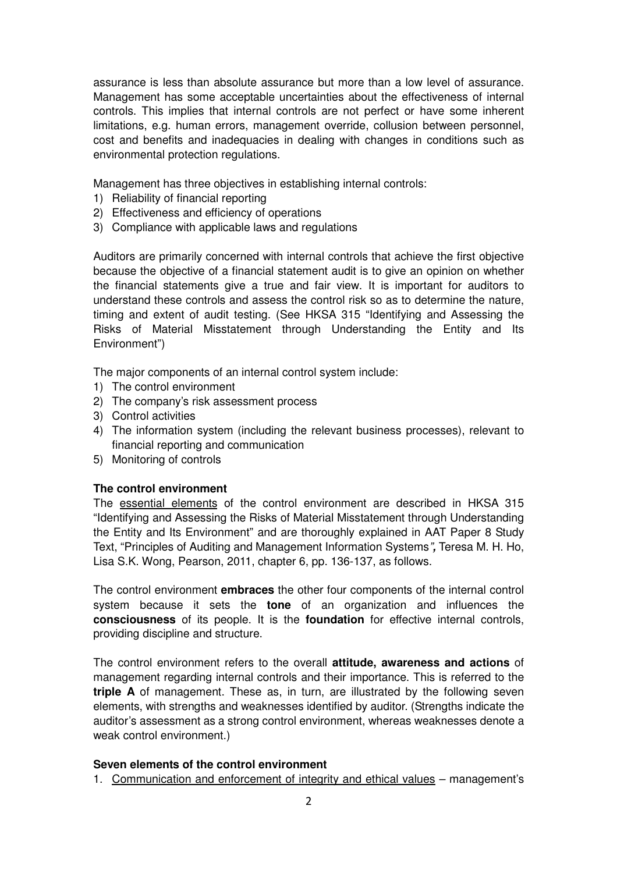assurance is less than absolute assurance but more than a low level of assurance. Management has some acceptable uncertainties about the effectiveness of internal controls. This implies that internal controls are not perfect or have some inherent limitations, e.g. human errors, management override, collusion between personnel, cost and benefits and inadequacies in dealing with changes in conditions such as environmental protection regulations.

Management has three objectives in establishing internal controls:

- 1) Reliability of financial reporting
- 2) Effectiveness and efficiency of operations
- 3) Compliance with applicable laws and regulations

Auditors are primarily concerned with internal controls that achieve the first objective because the objective of a financial statement audit is to give an opinion on whether the financial statements give a true and fair view. It is important for auditors to understand these controls and assess the control risk so as to determine the nature, timing and extent of audit testing. (See HKSA 315 "Identifying and Assessing the Risks of Material Misstatement through Understanding the Entity and Its Environment")

The major components of an internal control system include:

- 1) The control environment
- 2) The company's risk assessment process
- 3) Control activities
- 4) The information system (including the relevant business processes), relevant to financial reporting and communication
- 5) Monitoring of controls

## **The control environment**

The essential elements of the control environment are described in HKSA 315 "Identifying and Assessing the Risks of Material Misstatement through Understanding the Entity and Its Environment" and are thoroughly explained in AAT Paper 8 Study Text, "Principles of Auditing and Management Information Systems"**,** Teresa M. H. Ho, Lisa S.K. Wong, Pearson, 2011, chapter 6, pp. 136-137, as follows.

The control environment **embraces** the other four components of the internal control system because it sets the **tone** of an organization and influences the **consciousness** of its people. It is the **foundation** for effective internal controls, providing discipline and structure.

The control environment refers to the overall **attitude, awareness and actions** of management regarding internal controls and their importance. This is referred to the **triple A** of management. These as, in turn, are illustrated by the following seven elements, with strengths and weaknesses identified by auditor. (Strengths indicate the auditor's assessment as a strong control environment, whereas weaknesses denote a weak control environment.)

## **Seven elements of the control environment**

1. Communication and enforcement of integrity and ethical values – management's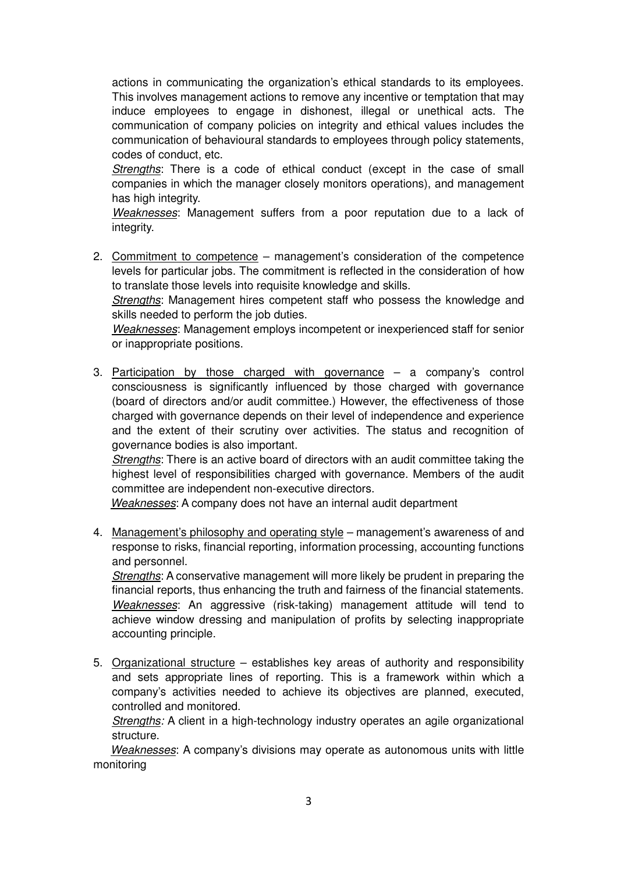actions in communicating the organization's ethical standards to its employees. This involves management actions to remove any incentive or temptation that may induce employees to engage in dishonest, illegal or unethical acts. The communication of company policies on integrity and ethical values includes the communication of behavioural standards to employees through policy statements, codes of conduct, etc.

Strengths: There is a code of ethical conduct (except in the case of small companies in which the manager closely monitors operations), and management has high integrity.

Weaknesses: Management suffers from a poor reputation due to a lack of integrity.

2. Commitment to competence – management's consideration of the competence levels for particular jobs. The commitment is reflected in the consideration of how to translate those levels into requisite knowledge and skills.

Strengths: Management hires competent staff who possess the knowledge and skills needed to perform the job duties.

Weaknesses: Management employs incompetent or inexperienced staff for senior or inappropriate positions.

3. Participation by those charged with governance – a company's control consciousness is significantly influenced by those charged with governance (board of directors and/or audit committee.) However, the effectiveness of those charged with governance depends on their level of independence and experience and the extent of their scrutiny over activities. The status and recognition of governance bodies is also important.

Strengths: There is an active board of directors with an audit committee taking the highest level of responsibilities charged with governance. Members of the audit committee are independent non-executive directors.

Weaknesses: A company does not have an internal audit department

4. Management's philosophy and operating style – management's awareness of and response to risks, financial reporting, information processing, accounting functions and personnel.

Strengths: A conservative management will more likely be prudent in preparing the financial reports, thus enhancing the truth and fairness of the financial statements. Weaknesses: An aggressive (risk-taking) management attitude will tend to achieve window dressing and manipulation of profits by selecting inappropriate accounting principle.

5. Organizational structure – establishes key areas of authority and responsibility and sets appropriate lines of reporting. This is a framework within which a company's activities needed to achieve its objectives are planned, executed, controlled and monitored.

Strengths: A client in a high-technology industry operates an agile organizational structure.

Weaknesses: A company's divisions may operate as autonomous units with little monitoring